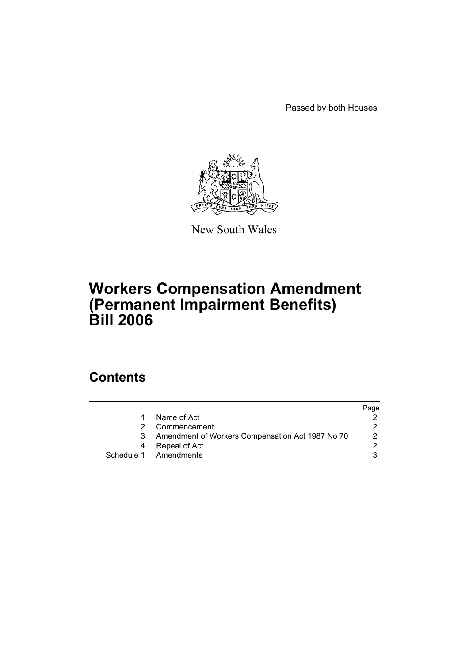Passed by both Houses



New South Wales

# **Workers Compensation Amendment (Permanent Impairment Benefits) Bill 2006**

## **Contents**

|                                                  | Page |
|--------------------------------------------------|------|
| Name of Act                                      |      |
| Commencement                                     |      |
| Amendment of Workers Compensation Act 1987 No 70 | 2    |
| Repeal of Act                                    |      |
| Schedule 1 Amendments                            |      |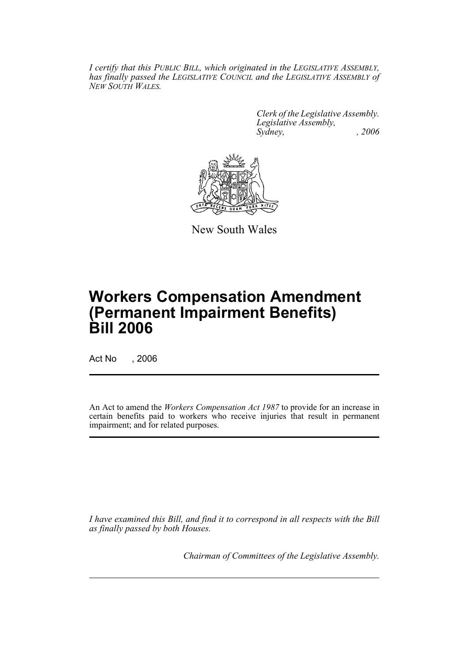*I certify that this PUBLIC BILL, which originated in the LEGISLATIVE ASSEMBLY, has finally passed the LEGISLATIVE COUNCIL and the LEGISLATIVE ASSEMBLY of NEW SOUTH WALES.*

> *Clerk of the Legislative Assembly. Legislative Assembly, Sydney, , 2006*



New South Wales

# **Workers Compensation Amendment (Permanent Impairment Benefits) Bill 2006**

Act No , 2006

An Act to amend the *Workers Compensation Act 1987* to provide for an increase in certain benefits paid to workers who receive injuries that result in permanent impairment; and for related purposes.

*I have examined this Bill, and find it to correspond in all respects with the Bill as finally passed by both Houses.*

*Chairman of Committees of the Legislative Assembly.*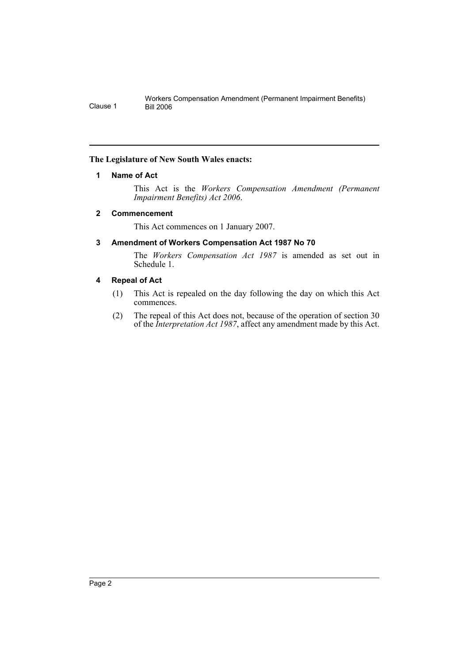#### **The Legislature of New South Wales enacts:**

#### **1 Name of Act**

This Act is the *Workers Compensation Amendment (Permanent Impairment Benefits) Act 2006*.

#### **2 Commencement**

This Act commences on 1 January 2007.

#### **3 Amendment of Workers Compensation Act 1987 No 70**

The *Workers Compensation Act 1987* is amended as set out in Schedule 1.

#### **4 Repeal of Act**

- (1) This Act is repealed on the day following the day on which this Act commences.
- (2) The repeal of this Act does not, because of the operation of section 30 of the *Interpretation Act 1987*, affect any amendment made by this Act.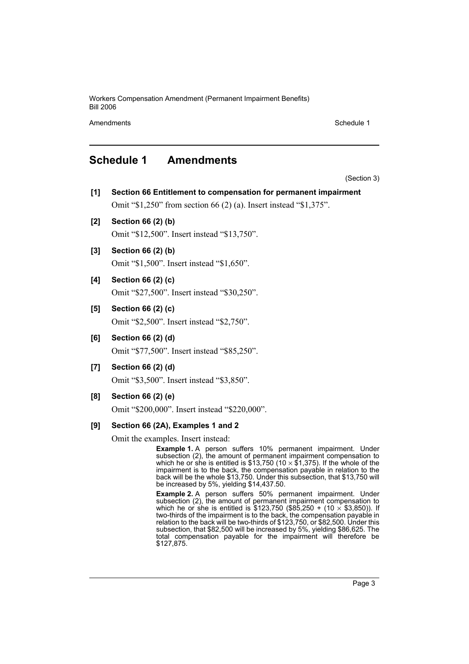Workers Compensation Amendment (Permanent Impairment Benefits) Bill 2006

Amendments **Schedule 1** and the set of the set of the set of the set of the set of the set of the set of the set of the set of the set of the set of the set of the set of the set of the set of the set of the set of the set

### **Schedule 1 Amendments**

(Section 3)

- **[1] Section 66 Entitlement to compensation for permanent impairment** Omit "\$1,250" from section 66 (2) (a). Insert instead "\$1,375".
- **[2] Section 66 (2) (b)** Omit "\$12,500". Insert instead "\$13,750".
- **[3] Section 66 (2) (b)** Omit "\$1,500". Insert instead "\$1,650".
- **[4] Section 66 (2) (c)** Omit "\$27,500". Insert instead "\$30,250".
- **[5] Section 66 (2) (c)** Omit "\$2,500". Insert instead "\$2,750".
- **[6] Section 66 (2) (d)**

Omit "\$77,500". Insert instead "\$85,250".

**[7] Section 66 (2) (d)**

Omit "\$3,500". Insert instead "\$3,850".

**[8] Section 66 (2) (e)**

Omit "\$200,000". Insert instead "\$220,000".

#### **[9] Section 66 (2A), Examples 1 and 2**

Omit the examples. Insert instead:

**Example 1.** A person suffers 10% permanent impairment. Under subsection (2), the amount of permanent impairment compensation to which he or she is entitled is \$13,750 (10  $\times$  \$1,375). If the whole of the impairment is to the back, the compensation payable in relation to the back will be the whole \$13,750. Under this subsection, that \$13,750 will be increased by 5%, yielding \$14,437.50.

**Example 2.** A person suffers 50% permanent impairment. Under subsection (2), the amount of permanent impairment compensation to which he or she is entitled is \$123,750 (\$85,250 + (10  $\times$  \$3,850)). If two-thirds of the impairment is to the back, the compensation payable in relation to the back will be two-thirds of \$123,750, or \$82,500. Under this subsection, that \$82,500 will be increased by 5%, yielding \$86,625. The total compensation payable for the impairment will therefore be \$127,875.